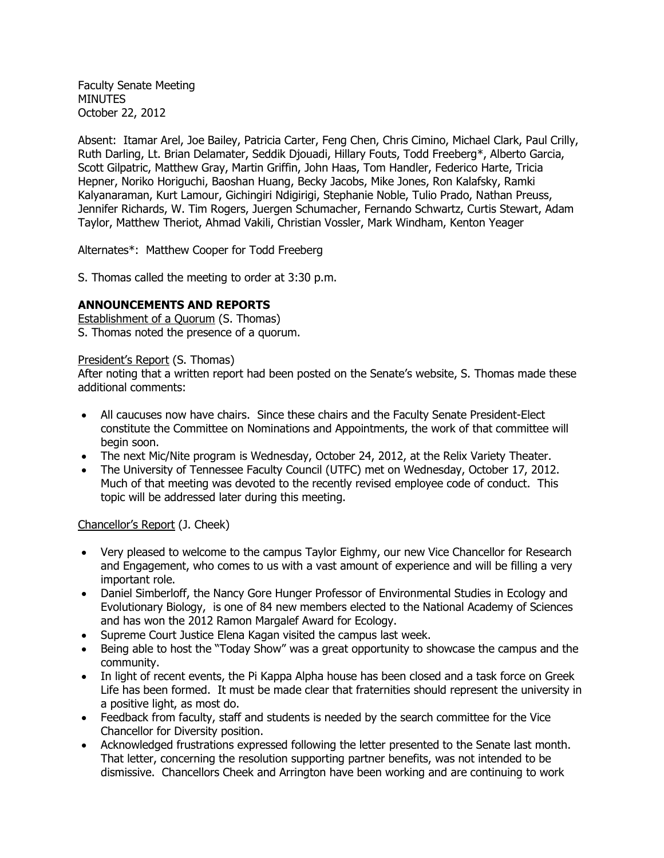Faculty Senate Meeting **MINUTES** October 22, 2012

Absent: Itamar Arel, Joe Bailey, Patricia Carter, Feng Chen, Chris Cimino, Michael Clark, Paul Crilly, Ruth Darling, Lt. Brian Delamater, Seddik Djouadi, Hillary Fouts, Todd Freeberg\*, Alberto Garcia, Scott Gilpatric, Matthew Gray, Martin Griffin, John Haas, Tom Handler, Federico Harte, Tricia Hepner, Noriko Horiguchi, Baoshan Huang, Becky Jacobs, Mike Jones, Ron Kalafsky, Ramki Kalyanaraman, Kurt Lamour, Gichingiri Ndigirigi, Stephanie Noble, Tulio Prado, Nathan Preuss, Jennifer Richards, W. Tim Rogers, Juergen Schumacher, Fernando Schwartz, Curtis Stewart, Adam Taylor, Matthew Theriot, Ahmad Vakili, Christian Vossler, Mark Windham, Kenton Yeager

Alternates\*: Matthew Cooper for Todd Freeberg

S. Thomas called the meeting to order at 3:30 p.m.

### **ANNOUNCEMENTS AND REPORTS**

Establishment of a Quorum (S. Thomas) S. Thomas noted the presence of a quorum.

## President's Report (S. Thomas)

After noting that a written report had been posted on the Senate's website, S. Thomas made these additional comments:

- All caucuses now have chairs. Since these chairs and the Faculty Senate President-Elect constitute the Committee on Nominations and Appointments, the work of that committee will begin soon.
- The next Mic/Nite program is Wednesday, October 24, 2012, at the Relix Variety Theater.
- The University of Tennessee Faculty Council (UTFC) met on Wednesday, October 17, 2012. Much of that meeting was devoted to the recently revised employee code of conduct. This topic will be addressed later during this meeting.

## Chancellor's Report (J. Cheek)

- Very pleased to welcome to the campus Taylor Eighmy, our new Vice Chancellor for Research and Engagement, who comes to us with a vast amount of experience and will be filling a very important role.
- Daniel Simberloff, the Nancy Gore Hunger Professor of Environmental Studies in Ecology and Evolutionary Biology, is one of 84 new members elected to the National Academy of Sciences and has won the 2012 Ramon Margalef Award for Ecology.
- Supreme Court Justice Elena Kagan visited the campus last week.
- Being able to host the "Today Show" was a great opportunity to showcase the campus and the community.
- In light of recent events, the Pi Kappa Alpha house has been closed and a task force on Greek Life has been formed. It must be made clear that fraternities should represent the university in a positive light, as most do.
- Feedback from faculty, staff and students is needed by the search committee for the Vice Chancellor for Diversity position.
- Acknowledged frustrations expressed following the letter presented to the Senate last month. That letter, concerning the resolution supporting partner benefits, was not intended to be dismissive. Chancellors Cheek and Arrington have been working and are continuing to work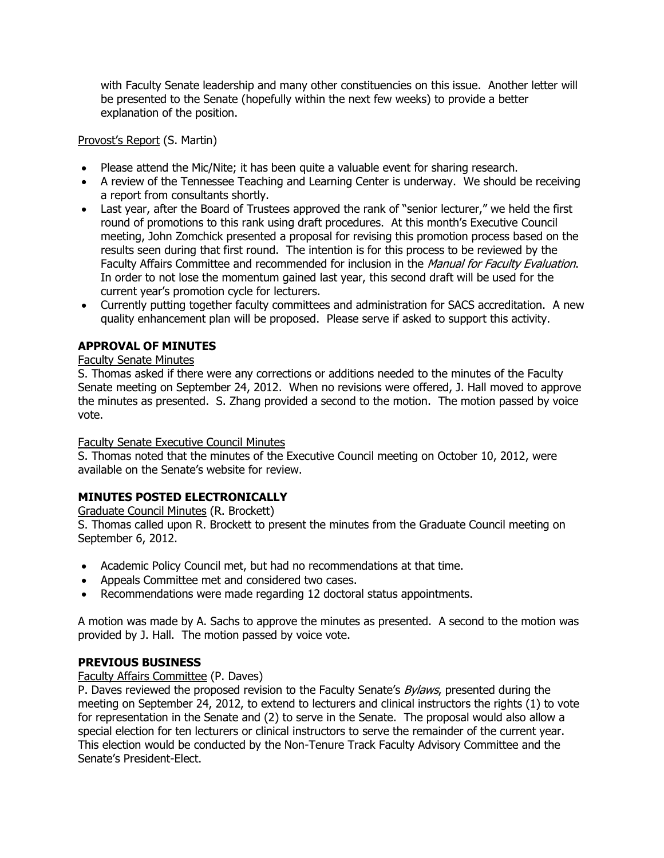with Faculty Senate leadership and many other constituencies on this issue. Another letter will be presented to the Senate (hopefully within the next few weeks) to provide a better explanation of the position.

Provost's Report (S. Martin)

- Please attend the Mic/Nite; it has been quite a valuable event for sharing research.
- A review of the Tennessee Teaching and Learning Center is underway. We should be receiving a report from consultants shortly.
- Last year, after the Board of Trustees approved the rank of "senior lecturer," we held the first round of promotions to this rank using draft procedures. At this month's Executive Council meeting, John Zomchick presented a proposal for revising this promotion process based on the results seen during that first round. The intention is for this process to be reviewed by the Faculty Affairs Committee and recommended for inclusion in the Manual for Faculty Evaluation. In order to not lose the momentum gained last year, this second draft will be used for the current year's promotion cycle for lecturers.
- Currently putting together faculty committees and administration for SACS accreditation. A new quality enhancement plan will be proposed. Please serve if asked to support this activity.

# **APPROVAL OF MINUTES**

## Faculty Senate Minutes

S. Thomas asked if there were any corrections or additions needed to the minutes of the Faculty Senate meeting on September 24, 2012. When no revisions were offered, J. Hall moved to approve the minutes as presented. S. Zhang provided a second to the motion. The motion passed by voice vote.

## Faculty Senate Executive Council Minutes

S. Thomas noted that the minutes of the Executive Council meeting on October 10, 2012, were available on the Senate's website for review.

# **MINUTES POSTED ELECTRONICALLY**

Graduate Council Minutes (R. Brockett)

S. Thomas called upon R. Brockett to present the minutes from the Graduate Council meeting on September 6, 2012.

- Academic Policy Council met, but had no recommendations at that time.
- Appeals Committee met and considered two cases.
- Recommendations were made regarding 12 doctoral status appointments.

A motion was made by A. Sachs to approve the minutes as presented. A second to the motion was provided by J. Hall. The motion passed by voice vote.

# **PREVIOUS BUSINESS**

## Faculty Affairs Committee (P. Daves)

P. Daves reviewed the proposed revision to the Faculty Senate's Bylaws, presented during the meeting on September 24, 2012, to extend to lecturers and clinical instructors the rights (1) to vote for representation in the Senate and (2) to serve in the Senate. The proposal would also allow a special election for ten lecturers or clinical instructors to serve the remainder of the current year. This election would be conducted by the Non-Tenure Track Faculty Advisory Committee and the Senate's President-Elect.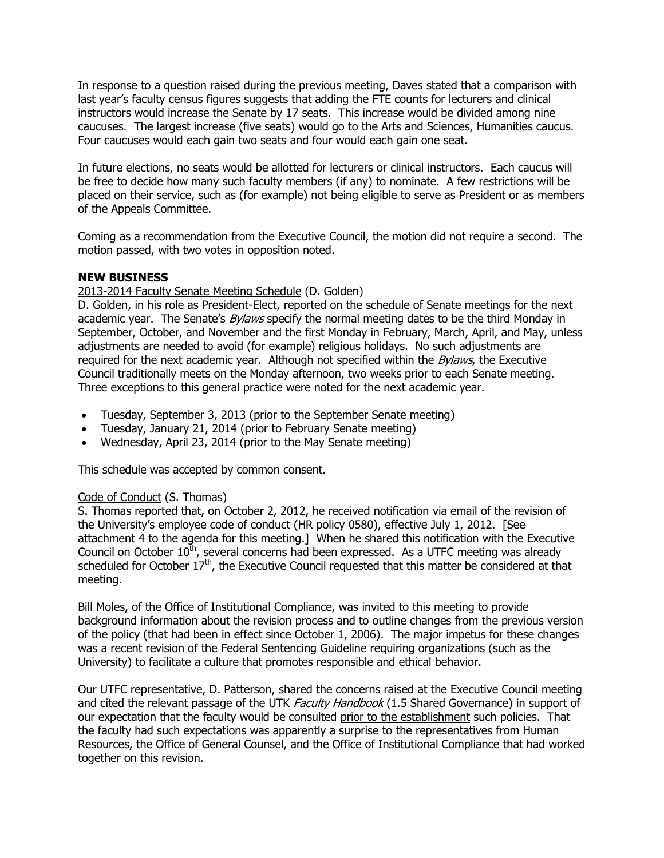In response to a question raised during the previous meeting, Daves stated that a comparison with last year's faculty census figures suggests that adding the FTE counts for lecturers and clinical instructors would increase the Senate by 17 seats. This increase would be divided among nine caucuses. The largest increase (five seats) would go to the Arts and Sciences, Humanities caucus. Four caucuses would each gain two seats and four would each gain one seat.

In future elections, no seats would be allotted for lecturers or clinical instructors. Each caucus will be free to decide how many such faculty members (if any) to nominate. A few restrictions will be placed on their service, such as (for example) not being eligible to serve as President or as members of the Appeals Committee.

Coming as a recommendation from the Executive Council, the motion did not require a second. The motion passed, with two votes in opposition noted.

### **NEW BUSINESS**

### 2013-2014 Faculty Senate Meeting Schedule (D. Golden)

D. Golden, in his role as President-Elect, reported on the schedule of Senate meetings for the next academic year. The Senate's *Bylaws* specify the normal meeting dates to be the third Monday in September, October, and November and the first Monday in February, March, April, and May, unless adjustments are needed to avoid (for example) religious holidays. No such adjustments are required for the next academic year. Although not specified within the  $Bvlaws$ , the Executive Council traditionally meets on the Monday afternoon, two weeks prior to each Senate meeting. Three exceptions to this general practice were noted for the next academic year.

- Tuesday, September 3, 2013 (prior to the September Senate meeting)
- Tuesday, January 21, 2014 (prior to February Senate meeting)
- Wednesday, April 23, 2014 (prior to the May Senate meeting)

This schedule was accepted by common consent.

#### Code of Conduct (S. Thomas)

S. Thomas reported that, on October 2, 2012, he received notification via email of the revision of the University's employee code of conduct (HR policy 0580), effective July 1, 2012. [See attachment 4 to the agenda for this meeting.] When he shared this notification with the Executive Council on October  $10^{\text{th}}$ , several concerns had been expressed. As a UTFC meeting was already scheduled for October  $17<sup>th</sup>$ , the Executive Council requested that this matter be considered at that meeting.

Bill Moles, of the Office of Institutional Compliance, was invited to this meeting to provide background information about the revision process and to outline changes from the previous version of the policy (that had been in effect since October 1, 2006). The major impetus for these changes was a recent revision of the Federal Sentencing Guideline requiring organizations (such as the University) to facilitate a culture that promotes responsible and ethical behavior.

Our UTFC representative, D. Patterson, shared the concerns raised at the Executive Council meeting and cited the relevant passage of the UTK Faculty Handbook (1.5 Shared Governance) in support of our expectation that the faculty would be consulted prior to the establishment such policies. That the faculty had such expectations was apparently a surprise to the representatives from Human Resources, the Office of General Counsel, and the Office of Institutional Compliance that had worked together on this revision.